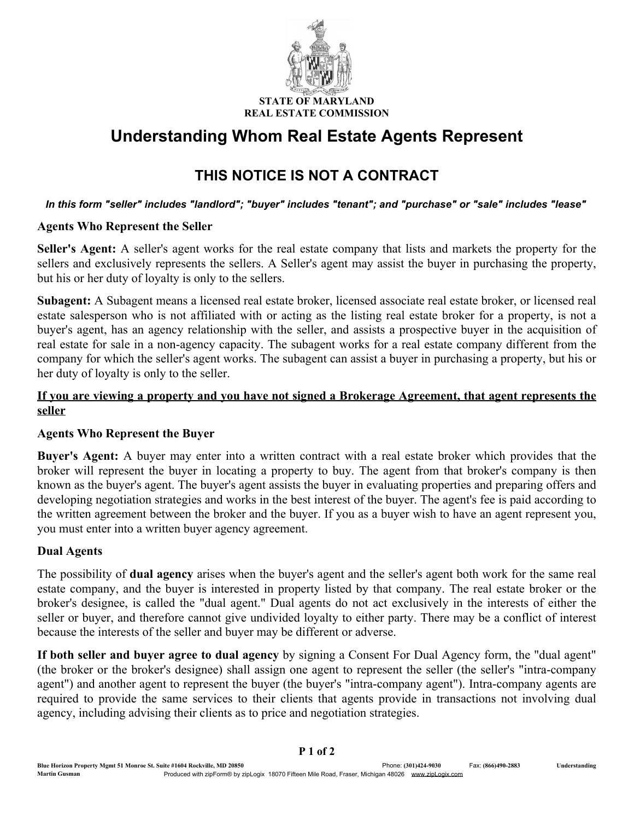

#### **STATE OF M REAL ESTATE COMMISSION**

# **Understanding Whom Real Estate Agents Represent**

## **THIS NOTICE IS NOT A CONTRACT**

#### *In this form "seller" includes "landlord"; "buyer" includes "tenant"; and "purchase" or "sale" includes "lease"*

#### **Agents Who Represent the Seller**

**Seller's Agent:** A seller's agent works for the real estate company that lists and markets the property for the sellers and exclusively represents the sellers. A Seller's agent may assist the buyer in purchasing the property, but his or her duty of loyalty is only to the sellers.

**Subagent:** A Subagent means a licensed real estate broker, licensed associate real estate broker, or licensed real estate salesperson who is not affiliated with or acting as the listing real estate broker for a property, is not a buyer's agent, has an agency relationship with the seller, and assists a prospective buyer in the acquisition of real estate for sale in a non-agency capacity. The subagent works for a real estate company different from the company for which the seller's agent works. The subagent can assist a buyer in purchasing a property, but his or her duty of loyalty is only to the seller.

### **If you are viewing a property and you have not signed a Brokerage Agreement, that agent represents the seller**

#### **Agents Who Represent the Buyer**

**Buyer's Agent:** A buyer may enter into a written contract with a real estate broker which provides that the broker will represent the buyer in locating a property to buy. The agent from that broker's company is then known as the buyer's agent. The buyer's agent assists the buyer in evaluating properties and preparing offers and developing negotiation strategies and works in the best interest of the buyer. The agent's fee is paid according to the written agreement between the broker and the buyer. If you as a buyer wish to have an agent represent you, you must enter into a written buyer agency agreement.

#### **Dual Agents**

The possibility of **dual agency** arises when the buyer's agent and the seller's agent both work for the same real estate company, and the buyer is interested in property listed by that company. The real estate broker or the broker's designee, is called the "dual agent." Dual agents do not act exclusively in the interests of either the seller or buyer, and therefore cannot give undivided loyalty to either party. There may be a conflict of interest because the interests of the seller and buyer may be different or adverse.

**If both seller and buyer agree to dual agency** by signing a Consent For Dual Agency form, the "dual agent" (the broker or the broker's designee) shall assign one agent to represent the seller (the seller's "intra-company agent") and another agent to represent the buyer (the buyer's "intra-company agent"). Intra-company agents are required to provide the same services to their clients that agents provide in transactions not involving dual agency, including advising their clients as to price and negotiation strategies.